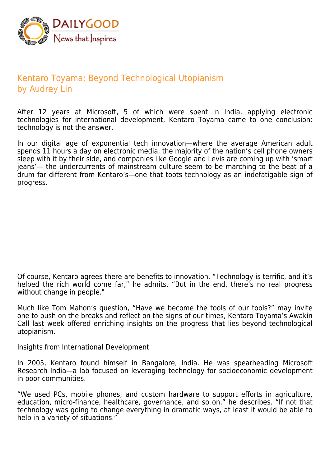

## Kentaro Toyama: Beyond Technological Utopianism by Audrey Lin

After 12 years at Microsoft, 5 of which were spent in India, applying electronic technologies for international development, Kentaro Toyama came to one conclusion: technology is not the answer.

In our digital age of exponential tech innovation—where the average American adult spends 11 hours a day on electronic media, the majority of the nation's cell phone owners sleep with it by their side, and companies like Google and Levis are coming up with 'smart jeans'— the undercurrents of mainstream culture seem to be marching to the beat of a drum far different from Kentaro's—one that toots technology as an indefatigable sign of progress.

Of course, Kentaro agrees there are benefits to innovation. "Technology is terrific, and it's helped the rich world come far," he admits. "But in the end, there's no real progress without change in people."

Much like Tom Mahon's question, "Have we become the tools of our tools?" may invite one to push on the breaks and reflect on the signs of our times, Kentaro Toyama's Awakin Call last week offered enriching insights on the progress that lies beyond technological utopianism.

Insights from International Development

In 2005, Kentaro found himself in Bangalore, India. He was spearheading Microsoft Research India—a lab focused on leveraging technology for socioeconomic development in poor communities.

"We used PCs, mobile phones, and custom hardware to support efforts in agriculture, education, micro-finance, healthcare, governance, and so on," he describes. "If not that technology was going to change everything in dramatic ways, at least it would be able to help in a variety of situations."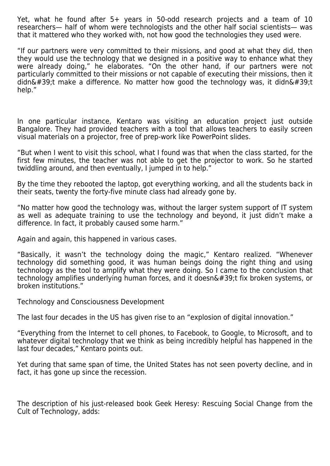Yet, what he found after 5+ years in 50-odd research projects and a team of 10 researchers— half of whom were technologists and the other half social scientists— was that it mattered who they worked with, not how good the technologies they used were.

"If our partners were very committed to their missions, and good at what they did, then they would use the technology that we designed in a positive way to enhance what they were already doing," he elaborates. "On the other hand, if our partners were not particularly committed to their missions or not capable of executing their missions, then it didn't make a difference. No matter how good the technology was, it didn't help."

In one particular instance, Kentaro was visiting an education project just outside Bangalore. They had provided teachers with a tool that allows teachers to easily screen visual materials on a projector, free of prep-work like PowerPoint slides.

"But when I went to visit this school, what I found was that when the class started, for the first few minutes, the teacher was not able to get the projector to work. So he started twiddling around, and then eventually, I jumped in to help."

By the time they rebooted the laptop, got everything working, and all the students back in their seats, twenty the forty-five minute class had already gone by.

"No matter how good the technology was, without the larger system support of IT system as well as adequate training to use the technology and beyond, it just didn't make a difference. In fact, it probably caused some harm."

Again and again, this happened in various cases.

"Basically, it wasn't the technology doing the magic," Kentaro realized. "Whenever technology did something good, it was human beings doing the right thing and using technology as the tool to amplify what they were doing. So I came to the conclusion that technology amplifies underlying human forces, and it doesn&#39:t fix broken systems, or broken institutions."

Technology and Consciousness Development

The last four decades in the US has given rise to an "explosion of digital innovation."

"Everything from the Internet to cell phones, to Facebook, to Google, to Microsoft, and to whatever digital technology that we think as being incredibly helpful has happened in the last four decades," Kentaro points out.

Yet during that same span of time, the United States has not seen poverty decline, and in fact, it has gone up since the recession.

The description of his just-released book Geek Heresy: Rescuing Social Change from the Cult of Technology, adds: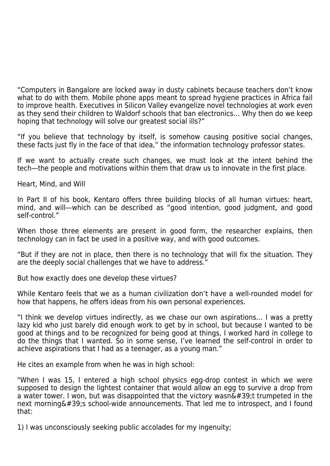"Computers in Bangalore are locked away in dusty cabinets because teachers don't know what to do with them. Mobile phone apps meant to spread hygiene practices in Africa fail to improve health. Executives in Silicon Valley evangelize novel technologies at work even as they send their children to Waldorf schools that ban electronics… Why then do we keep hoping that technology will solve our greatest social ills?"

"If you believe that technology by itself, is somehow causing positive social changes, these facts just fly in the face of that idea," the information technology professor states.

If we want to actually create such changes, we must look at the intent behind the tech—the people and motivations within them that draw us to innovate in the first place.

Heart, Mind, and Will

In Part II of his book, Kentaro offers three building blocks of all human virtues: heart, mind, and will—which can be described as "good intention, good judgment, and good self-control."

When those three elements are present in good form, the researcher explains, then technology can in fact be used in a positive way, and with good outcomes.

"But if they are not in place, then there is no technology that will fix the situation. They are the deeply social challenges that we have to address."

But how exactly does one develop these virtues?

While Kentaro feels that we as a human civilization don't have a well-rounded model for how that happens, he offers ideas from his own personal experiences.

"I think we develop virtues indirectly, as we chase our own aspirations… I was a pretty lazy kid who just barely did enough work to get by in school, but because I wanted to be good at things and to be recognized for being good at things, I worked hard in college to do the things that I wanted. So in some sense, I've learned the self-control in order to achieve aspirations that I had as a teenager, as a young man."

He cites an example from when he was in high school:

"When I was 15, I entered a high school physics egg-drop contest in which we were supposed to design the lightest container that would allow an egg to survive a drop from a water tower. I won, but was disappointed that the victory wasn $&\#39$ ; ttrumpeted in the next morning  $&\#39$ ; school-wide announcements. That led me to introspect, and I found that:

1) I was unconsciously seeking public accolades for my ingenuity;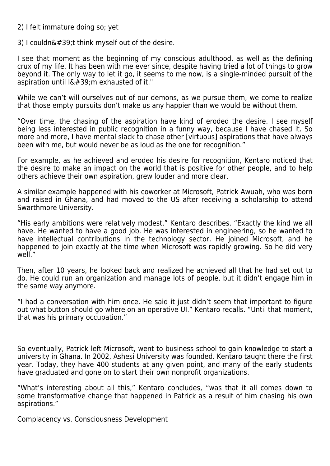2) I felt immature doing so; yet

3) I couldn $'$ ; t think myself out of the desire.

I see that moment as the beginning of my conscious adulthood, as well as the defining crux of my life. It has been with me ever since, despite having tried a lot of things to grow beyond it. The only way to let it go, it seems to me now, is a single-minded pursuit of the aspiration until  $I\&\#39$ : mexhausted of it."

While we can't will ourselves out of our demons, as we pursue them, we come to realize that those empty pursuits don't make us any happier than we would be without them.

"Over time, the chasing of the aspiration have kind of eroded the desire. I see myself being less interested in public recognition in a funny way, because I have chased it. So more and more, I have mental slack to chase other [virtuous] aspirations that have always been with me, but would never be as loud as the one for recognition."

For example, as he achieved and eroded his desire for recognition, Kentaro noticed that the desire to make an impact on the world that is positive for other people, and to help others achieve their own aspiration, grew louder and more clear.

A similar example happened with his coworker at Microsoft, Patrick Awuah, who was born and raised in Ghana, and had moved to the US after receiving a scholarship to attend Swarthmore University.

"His early ambitions were relatively modest," Kentaro describes. "Exactly the kind we all have. He wanted to have a good job. He was interested in engineering, so he wanted to have intellectual contributions in the technology sector. He joined Microsoft, and he happened to join exactly at the time when Microsoft was rapidly growing. So he did very well."

Then, after 10 years, he looked back and realized he achieved all that he had set out to do. He could run an organization and manage lots of people, but it didn't engage him in the same way anymore.

"I had a conversation with him once. He said it just didn't seem that important to figure out what button should go where on an operative UI." Kentaro recalls. "Until that moment, that was his primary occupation."

So eventually, Patrick left Microsoft, went to business school to gain knowledge to start a university in Ghana. In 2002, Ashesi University was founded. Kentaro taught there the first year. Today, they have 400 students at any given point, and many of the early students have graduated and gone on to start their own nonprofit organizations.

"What's interesting about all this," Kentaro concludes, "was that it all comes down to some transformative change that happened in Patrick as a result of him chasing his own aspirations."

Complacency vs. Consciousness Development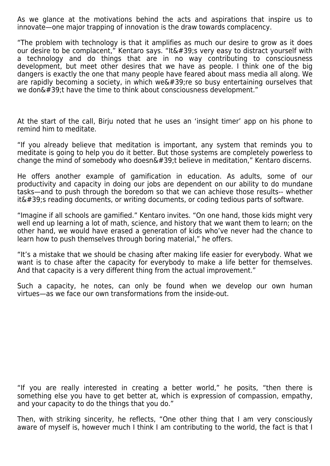As we glance at the motivations behind the acts and aspirations that inspire us to innovate—one major trapping of innovation is the draw towards complacency.

"The problem with technology is that it amplifies as much our desire to grow as it does our desire to be complacent," Kentaro says. "It  $\&\#39$ ; very easy to distract yourself with a technology and do things that are in no way contributing to consciousness development, but meet other desires that we have as people. I think one of the big dangers is exactly the one that many people have feared about mass media all along. We are rapidly becoming a society, in which we  $\&\#39$ ; re so busy entertaining ourselves that we don't have the time to think about consciousness development."

At the start of the call, Birju noted that he uses an 'insight timer' app on his phone to remind him to meditate.

"If you already believe that meditation is important, any system that reminds you to meditate is going to help you do it better. But those systems are completely powerless to change the mind of somebody who doesn $\&\#39$ ; believe in meditation," Kentaro discerns.

He offers another example of gamification in education. As adults, some of our productivity and capacity in doing our jobs are dependent on our ability to do mundane tasks—and to push through the boredom so that we can achieve those results-- whether  $it\'$ ; reading documents, or writing documents, or coding tedious parts of software.

"Imagine if all schools are gamified." Kentaro invites. "On one hand, those kids might very well end up learning a lot of math, science, and history that we want them to learn; on the other hand, we would have erased a generation of kids who've never had the chance to learn how to push themselves through boring material," he offers.

"It's a mistake that we should be chasing after making life easier for everybody. What we want is to chase after the capacity for everybody to make a life better for themselves. And that capacity is a very different thing from the actual improvement."

Such a capacity, he notes, can only be found when we develop our own human virtues—as we face our own transformations from the inside-out.

"If you are really interested in creating a better world," he posits, "then there is something else you have to get better at, which is expression of compassion, empathy, and your capacity to do the things that you do."

Then, with striking sincerity, he reflects, "One other thing that I am very consciously aware of myself is, however much I think I am contributing to the world, the fact is that I